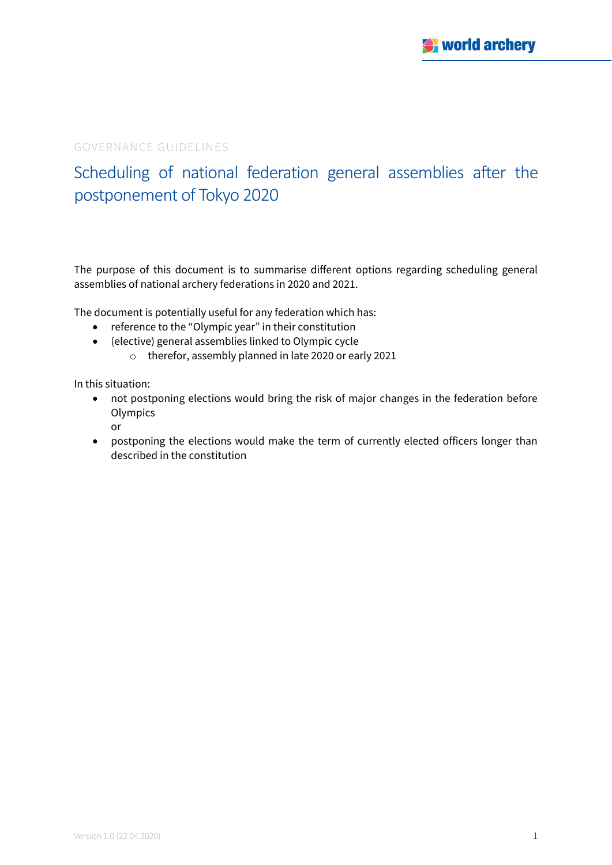## GOVERNANCE GUIDELINES

# Scheduling of national federation general assemblies after the postponement of Tokyo 2020

The purpose of this document is to summarise different options regarding scheduling general assemblies of national archery federations in 2020 and 2021.

The document is potentially useful for any federation which has:

- reference to the "Olympic year" in their constitution
- (elective) general assemblies linked to Olympic cycle
	- o therefor, assembly planned in late 2020 or early 2021

In this situation:

- not postponing elections would bring the risk of major changes in the federation before **Olympics** or
- postponing the elections would make the term of currently elected officers longer than described in the constitution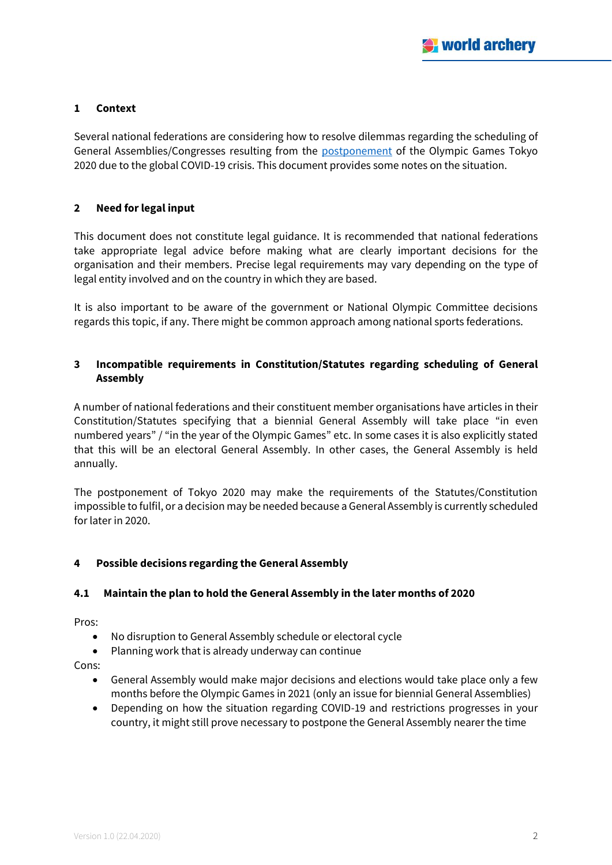## **1 Context**

Several national federations are considering how to resolve dilemmas regarding the scheduling of General Assemblies/Congresses resulting from the **postponement** of the Olympic Games Tokyo 2020 due to the global COVID-19 crisis. This document provides some notes on the situation.

## **2 Need for legal input**

This document does not constitute legal guidance. It is recommended that national federations take appropriate legal advice before making what are clearly important decisions for the organisation and their members. Precise legal requirements may vary depending on the type of legal entity involved and on the country in which they are based.

It is also important to be aware of the government or National Olympic Committee decisions regards this topic, if any. There might be common approach among national sports federations.

## **3 Incompatible requirements in Constitution/Statutes regarding scheduling of General Assembly**

A number of national federations and their constituent member organisations have articles in their Constitution/Statutes specifying that a biennial General Assembly will take place "in even numbered years" / "in the year of the Olympic Games" etc. In some cases it is also explicitly stated that this will be an electoral General Assembly. In other cases, the General Assembly is held annually.

The postponement of Tokyo 2020 may make the requirements of the Statutes/Constitution impossible to fulfil, or a decision may be needed because a General Assembly is currently scheduled for later in 2020.

## **4 Possible decisions regarding the General Assembly**

## **4.1 Maintain the plan to hold the General Assembly in the later months of 2020**

Pros:

- No disruption to General Assembly schedule or electoral cycle
- Planning work that is already underway can continue

Cons:

- General Assembly would make major decisions and elections would take place only a few months before the Olympic Games in 2021 (only an issue for biennial General Assemblies)
- Depending on how the situation regarding COVID-19 and restrictions progresses in your country, it might still prove necessary to postpone the General Assembly nearer the time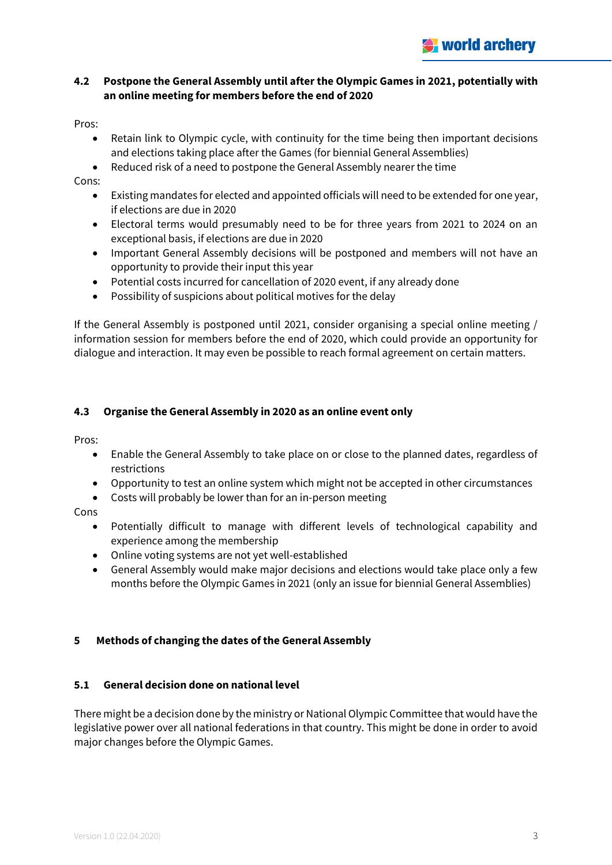## **4.2 Postpone the General Assembly until after the Olympic Games in 2021, potentially with an online meeting for members before the end of 2020**

Pros:

- Retain link to Olympic cycle, with continuity for the time being then important decisions and elections taking place after the Games (for biennial General Assemblies)
- Reduced risk of a need to postpone the General Assembly nearer the time

#### Cons:

- Existing mandates for elected and appointed officials will need to be extended for one year, if elections are due in 2020
- Electoral terms would presumably need to be for three years from 2021 to 2024 on an exceptional basis, if elections are due in 2020
- Important General Assembly decisions will be postponed and members will not have an opportunity to provide their input this year
- Potential costs incurred for cancellation of 2020 event, if any already done
- Possibility of suspicions about political motives for the delay

If the General Assembly is postponed until 2021, consider organising a special online meeting / information session for members before the end of 2020, which could provide an opportunity for dialogue and interaction. It may even be possible to reach formal agreement on certain matters.

## **4.3 Organise the General Assembly in 2020 as an online event only**

Pros:

- Enable the General Assembly to take place on or close to the planned dates, regardless of restrictions
- Opportunity to test an online system which might not be accepted in other circumstances
- Costs will probably be lower than for an in-person meeting

Cons

- Potentially difficult to manage with different levels of technological capability and experience among the membership
- Online voting systems are not yet well-established
- General Assembly would make major decisions and elections would take place only a few months before the Olympic Games in 2021 (only an issue for biennial General Assemblies)

## **5 Methods of changing the dates of the General Assembly**

## **5.1 General decision done on national level**

There might be a decision done by the ministry or National Olympic Committee that would have the legislative power over all national federations in that country. This might be done in order to avoid major changes before the Olympic Games.